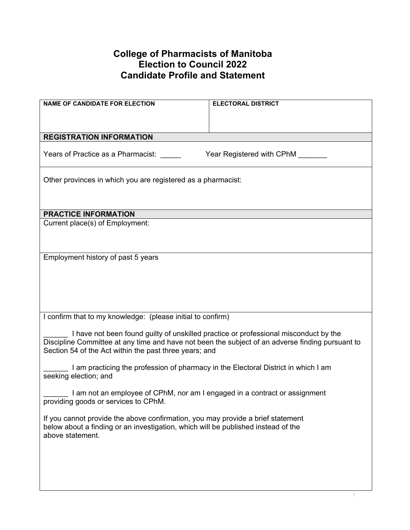## **College of Pharmacists of Manitoba Election to Council 2022 Candidate Profile and Statement**

| <b>NAME OF CANDIDATE FOR ELECTION</b>                                                                       | <b>ELECTORAL DISTRICT</b>        |  |
|-------------------------------------------------------------------------------------------------------------|----------------------------------|--|
|                                                                                                             |                                  |  |
|                                                                                                             |                                  |  |
| <b>REGISTRATION INFORMATION</b>                                                                             |                                  |  |
|                                                                                                             |                                  |  |
| Years of Practice as a Pharmacist:                                                                          | Year Registered with CPhM ______ |  |
|                                                                                                             |                                  |  |
| Other provinces in which you are registered as a pharmacist:                                                |                                  |  |
|                                                                                                             |                                  |  |
|                                                                                                             |                                  |  |
| <b>PRACTICE INFORMATION</b>                                                                                 |                                  |  |
| Current place(s) of Employment:                                                                             |                                  |  |
|                                                                                                             |                                  |  |
|                                                                                                             |                                  |  |
| Employment history of past 5 years                                                                          |                                  |  |
|                                                                                                             |                                  |  |
|                                                                                                             |                                  |  |
|                                                                                                             |                                  |  |
|                                                                                                             |                                  |  |
|                                                                                                             |                                  |  |
| I confirm that to my knowledge: (please initial to confirm)                                                 |                                  |  |
| I have not been found guilty of unskilled practice or professional misconduct by the                        |                                  |  |
| Discipline Committee at any time and have not been the subject of an adverse finding pursuant to            |                                  |  |
| Section 54 of the Act within the past three years; and                                                      |                                  |  |
|                                                                                                             |                                  |  |
| I am practicing the profession of pharmacy in the Electoral District in which I am<br>seeking election; and |                                  |  |
|                                                                                                             |                                  |  |
| I am not an employee of CPhM, nor am I engaged in a contract or assignment                                  |                                  |  |
| providing goods or services to CPhM.                                                                        |                                  |  |
| If you cannot provide the above confirmation, you may provide a brief statement                             |                                  |  |
| below about a finding or an investigation, which will be published instead of the                           |                                  |  |
| above statement.                                                                                            |                                  |  |
|                                                                                                             |                                  |  |
|                                                                                                             |                                  |  |
|                                                                                                             |                                  |  |
|                                                                                                             |                                  |  |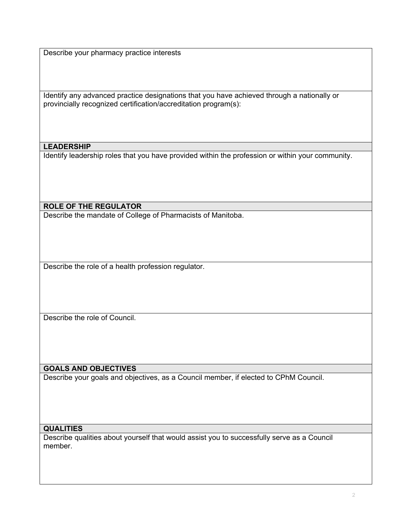Describe your pharmacy practice interests

Identify any advanced practice designations that you have achieved through a nationally or provincially recognized certification/accreditation program(s):

### **LEADERSHIP**

Identify leadership roles that you have provided within the profession or within your community.

**ROLE OF THE REGULATOR**

Describe the mandate of College of Pharmacists of Manitoba.

Describe the role of a health profession regulator.

Describe the role of Council.

### **GOALS AND OBJECTIVES**

Describe your goals and objectives, as a Council member, if elected to CPhM Council.

#### **QUALITIES**

Describe qualities about yourself that would assist you to successfully serve as a Council member.